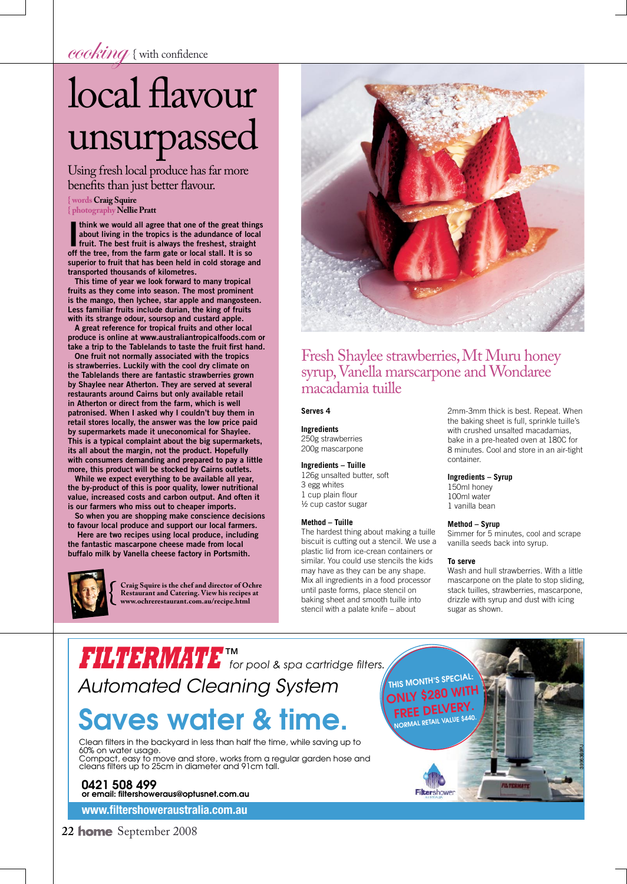cooking { with confidence

# local flavour unsurpassed

Using fresh local produce has far more benefits than just better flavour.

**{ words Craig Squire**

**{ photography Nellie Pratt**

I think we would all agree that one of the great things<br>about living in the tropics is the adundance of local<br>fruit. The best fruit is always the freshest, straight<br>of the tree from the form gate or local stall. It is see about living in the tropics is the adundance of local off the tree, from the farm gate or local stall. It is so superior to fruit that has been held in cold storage and transported thousands of kilometres.

This time of year we look forward to many tropical fruits as they come into season. The most prominent is the mango, then lychee, star apple and mangosteen. Less familiar fruits include durian, the king of fruits with its strange odour, soursop and custard apple.

A great reference for tropical fruits and other local produce is online at www.australiantropicalfoods.com or take a trip to the Tablelands to taste the fruit first hand.

One fruit not normally associated with the tropics is strawberries. Luckily with the cool dry climate on the Tablelands there are fantastic strawberries grown by Shaylee near Atherton. They are served at several restaurants around Cairns but only available retail in Atherton or direct from the farm, which is well patronised. When I asked why I couldn't buy them in retail stores locally, the answer was the low price paid by supermarkets made it uneconomical for Shaylee. This is a typical complaint about the big supermarkets, its all about the margin, not the product. Hopefully with consumers demanding and prepared to pay a little more, this product will be stocked by Cairns outlets.

While we expect everything to be available all year, the by-product of this is poor quality, lower nutritional value, increased costs and carbon output. And often it is our farmers who miss out to cheaper imports.

So when you are shopping make conscience decisions to favour local produce and support our local farmers.

 Here are two recipes using local produce, including the fantastic mascarpone cheese made from local buffalo milk by Vanella cheese factory in Portsmith.



**Craig Squire is the chef and director of Ochre Restaurant and Catering. View his recipes at www.ochrerestaurant.com.au/recipe.html**



### Fresh Shaylee strawberries, Mt Muru honey syrup, Vanella marscarpone and Wondaree macadamia tuille

### **Serves 4**

**Ingredients**

250g strawberries 200g mascarpone

### **Ingredients – Tuille**

126g unsalted butter, soft 3 egg whites 1 cup plain flour ½ cup castor sugar

### **Method – Tuille**

The hardest thing about making a tuille biscuit is cutting out a stencil. We use a plastic lid from ice-crean containers or similar. You could use stencils the kids may have as they can be any shape. Mix all ingredients in a food processor until paste forms, place stencil on baking sheet and smooth tuille into stencil with a palate knife – about

2mm-3mm thick is best. Repeat. When the baking sheet is full, sprinkle tuille's with crushed unsalted macadamias, bake in a pre-heated oven at 180C for 8 minutes. Cool and store in an air-tight container.

#### **Ingredients – Syrup**

150ml honey 100ml water 1 vanilla bean

#### **Method – Syrup**

Simmer for 5 minutes, cool and scrape vanilla seeds back into syrup.

### **To serve**

Wash and hull strawberries. With a little mascarpone on the plate to stop sliding, stack tuilles, strawberries, mascarpone, drizzle with syrup and dust with icing sugar as shown.

## **FILTERMATE TM** *for pool & spa cartridge fi lters.* Automated Cleaning System

# **Saves water & time.**

Clean filters in the backyard in less than half the time, while saving up to 60% on water usage. Compact, easy to move and store, works from a regular garden hose and cleans filters up to 25cm in diameter and 91cm tall.

**0421 508 499 or email: filtershoweraus@optusnet.com.au**

**www.fi ltershoweraustralia.com.au**